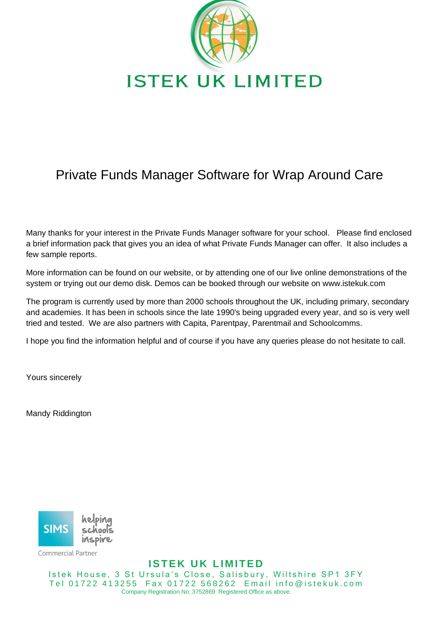

## Private Funds Manager Software for Wrap Around Care

Many thanks for your interest in the Private Funds Manager software for your school. Please find enclosed a brief information pack that gives you an idea of what Private Funds Manager can offer. It also includes a few sample reports.

More information can be found on our website, or by attending one of our live online demonstrations of the system or trying out our demo disk. Demos can be booked through our website on www.istekuk.com

The program is currently used by more than 2000 schools throughout the UK, including primary, secondary and academies. It has been in schools since the late 1990's being upgraded every year, and so is very well tried and tested. We are also partners with Capita, Parentpay, Parentmail and Schoolcomms.

I hope you find the information helpful and of course if you have any queries please do not hesitate to call.

Yours sincerely

Mandy Riddington



Commercial Partner

**ISTEK UK LIMITED** Istek House, 3 St Ursula's Close, Salisbury, Wiltshire SP1 3FY Tel 01722 413255 Fax 01722 568262 Email info@istekuk.com Company Registration No: 3752869 Registered Office as above.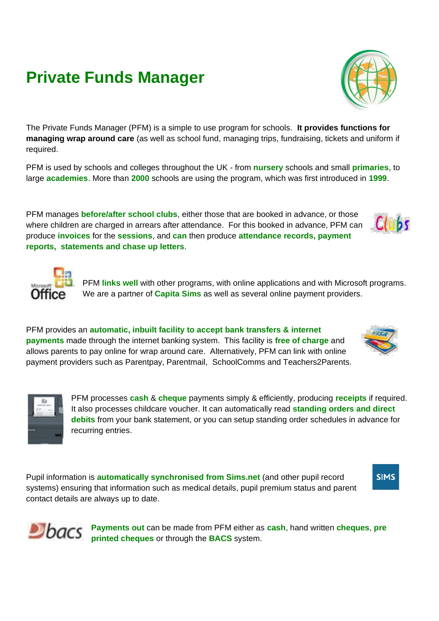# **Private Funds Manager**

The Private Funds Manager (PFM) is a simple to use program for schools. **It provides functions for managing wrap around care** (as well as school fund, managing trips, fundraising, tickets and uniform if required.

PFM is used by schools and colleges throughout the UK - from **nursery** schools and small **primaries**, to large **academies**. More than **2000** schools are using the program, which was first introduced in **1999**.

PFM manages **before/after school clubs**, either those that are booked in advance, or those where children are charged in arrears after attendance. For this booked in advance, PFM can produce **invoices** for the **sessions**, and **can** then produce **attendance records, payment reports, statements and chase up letters**.

> PFM **links well** with other programs, with online applications and with Microsoft programs. We are a partner of **Capita Sims** as well as several online payment providers.

PFM provides an **automatic, inbuilt facility to accept bank transfers & internet payments** made through the internet banking system. This facility is **free of charge** and allows parents to pay online for wrap around care. Alternatively, PFM can link with online payment providers such as Parentpay, Parentmail, SchoolComms and Teachers2Parents.

> PFM processes **cash** & **cheque** payments simply & efficiently, producing **receipts** if required. It also processes childcare voucher. It can automatically read **standing orders and direct debits** from your bank statement, or you can setup standing order schedules in advance for recurring entries.

Pupil information is **automatically synchronised from Sims.net** (and other pupil record systems) ensuring that information such as medical details, pupil premium status and parent contact details are always up to date.

> **Payments out** can be made from PFM either as **cash**, hand written **cheques**, **pre printed cheques** or through the **BACS** system.









Clubs

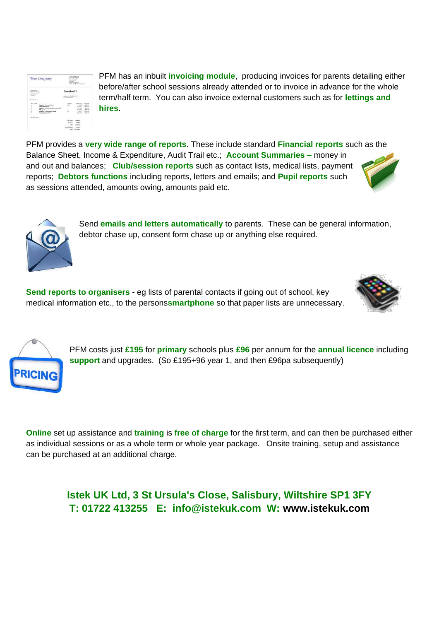

PFM has an inbuilt **invoicing module**, producing invoices for parents detailing either before/after school sessions already attended or to invoice in advance for the whole term/half term. You can also invoice external customers such as for **lettings and hires**.

PFM provides a **very wide range of reports**. These include standard **Financial reports** such as the Balance Sheet, Income & Expenditure, Audit Trail etc.; **Account Summaries –** money in and out and balances; **Club/session reports** such as contact lists, medical lists, payment reports; **Debtors functions** including reports, letters and emails; and **Pupil reports** such as sessions attended, amounts owing, amounts paid etc.



**Send reports to organisers** - eg lists of parental contacts if going out of school, key medical information etc., to the persons**smartphone** so that paper lists are unnecessary.





PFM costs just **£195** for **primary** schools plus **£96** per annum for the **annual licence** including **support** and upgrades. (So £195+96 year 1, and then £96pa subsequently)

**Online** set up assistance and **training** is **free of charge** for the first term, and can then be purchased either as individual sessions or as a whole term or whole year package. Onsite training, setup and assistance can be purchased at an additional charge.

> **Istek UK Ltd, 3 St Ursula's Close, Salisbury, Wiltshire SP1 3FY T: 01722 413255 E: info@istekuk.com W: [www.istekuk.com](http://www.istekuk.com/)**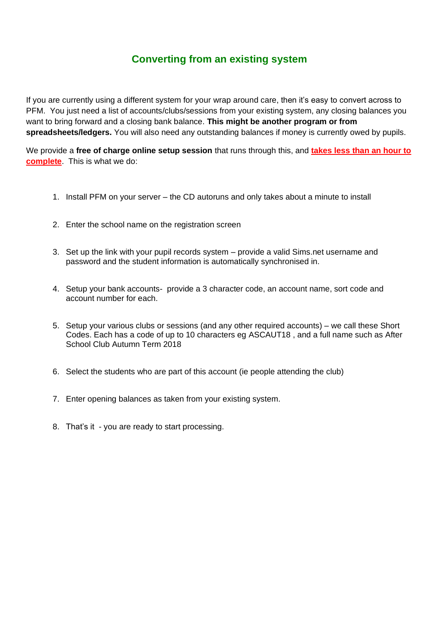#### **Converting from an existing system**

If you are currently using a different system for your wrap around care, then it's easy to convert across to PFM. You just need a list of accounts/clubs/sessions from your existing system, any closing balances you want to bring forward and a closing bank balance. **This might be another program or from spreadsheets/ledgers.** You will also need any outstanding balances if money is currently owed by pupils.

We provide a **free of charge online setup session** that runs through this, and **takes less than an hour to complete**. This is what we do:

- 1. Install PFM on your server the CD autoruns and only takes about a minute to install
- 2. Enter the school name on the registration screen
- 3. Set up the link with your pupil records system provide a valid Sims.net username and password and the student information is automatically synchronised in.
- 4. Setup your bank accounts- provide a 3 character code, an account name, sort code and account number for each.
- 5. Setup your various clubs or sessions (and any other required accounts) we call these Short Codes. Each has a code of up to 10 characters eg ASCAUT18 , and a full name such as After School Club Autumn Term 2018
- 6. Select the students who are part of this account (ie people attending the club)
- 7. Enter opening balances as taken from your existing system.
- 8. That's it you are ready to start processing.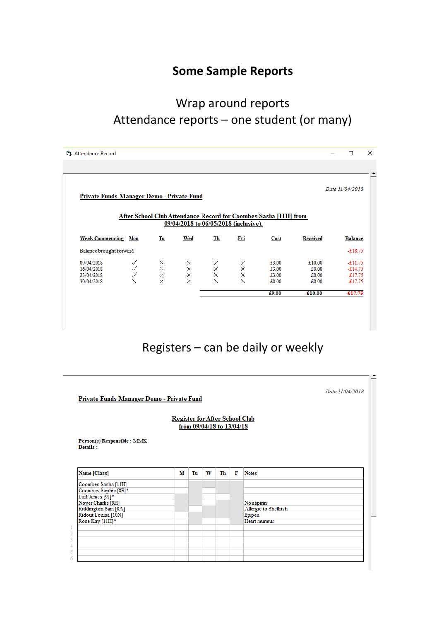#### **Some Sample Reports**

#### Wrap around reports Attendance reports – one student (or many)

| Private Funds Manager Demo - Private Fund            |                                    |                             |                                       |                                |                                              |                                                                  |                                   | Date 11/04/2018                                  |
|------------------------------------------------------|------------------------------------|-----------------------------|---------------------------------------|--------------------------------|----------------------------------------------|------------------------------------------------------------------|-----------------------------------|--------------------------------------------------|
|                                                      |                                    |                             | 09/04/2018 to 06/05/2018 (inclusive). |                                |                                              | After School Club Attendance Record for Coombes Sasha [11H] from |                                   |                                                  |
| <b>Week Commencing Mon</b>                           |                                    | Tu                          | Wed                                   | Th                             | Fri                                          | Cost                                                             | <b>Received</b>                   | <b>Balance</b>                                   |
| Balance brought forward                              |                                    |                             |                                       |                                |                                              |                                                                  |                                   | $-£18.75$                                        |
| 09/04/2018<br>16/04/2018<br>23/04/2018<br>30/04/2018 | ✓<br>✓<br>$\checkmark$<br>$\times$ | ×<br>$\times \times \times$ | ×<br>$\times$<br>$\times$<br>$\times$ | ×<br>$\frac{1}{x}$<br>$\times$ | $\times$<br>$\times$<br>$\times$<br>$\times$ | £3.00<br>£3.00<br>£3.00<br>£0.00                                 | £10.00<br>£0.00<br>£0.00<br>£0.00 | $-£11.75$<br>$-£14.75$<br>$-£17.75$<br>$-£17.75$ |
|                                                      |                                    |                             |                                       |                                |                                              | £9.00                                                            | £10.00                            | $-£17.75$                                        |

## Registers – can be daily or weekly

|                                         | <b>Register for After School Club</b> |    |   | from 09/04/18 to 13/04/18 |   |                       |  |
|-----------------------------------------|---------------------------------------|----|---|---------------------------|---|-----------------------|--|
| Person(s) Responsible : MMK<br>Details: |                                       |    |   |                           |   |                       |  |
|                                         |                                       |    |   |                           |   |                       |  |
| Name [Class]                            | м                                     | Tu | W | Th                        | F | <b>Notes</b>          |  |
| Coombes Sasha [11H]                     |                                       |    |   |                           |   |                       |  |
| Coombes Sophie [8B]*                    |                                       |    |   |                           |   |                       |  |
| Luff James [9J]*<br>Noyer Charlie [9H]  |                                       |    |   |                           |   | No aspirin            |  |
| Riddington Sam <sup>[8A]</sup>          |                                       |    |   |                           |   | Allergic to Shellfish |  |
| Ridout Louisa [10N]                     |                                       |    |   |                           |   | Epipen                |  |
| Rose Kay [11H]*                         |                                       |    |   |                           |   | Heart murmur          |  |
|                                         |                                       |    |   |                           |   |                       |  |
|                                         |                                       |    |   |                           |   |                       |  |
|                                         |                                       |    |   |                           |   |                       |  |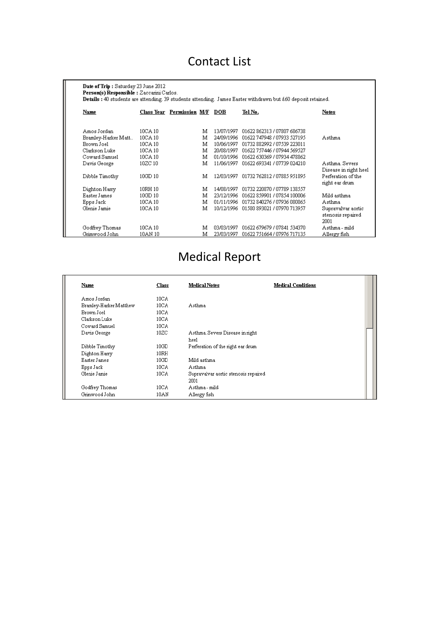#### Contact List

| Date of Trip: Saturday 23 June 2012<br>Person(s) Responsible : Zaccarini Carlos.<br>Details: 40 students are attending. 39 students attending. James Easter withdrawn but £60 deposit retained. |            |                |            |                             |                           |
|-------------------------------------------------------------------------------------------------------------------------------------------------------------------------------------------------|------------|----------------|------------|-----------------------------|---------------------------|
| Name                                                                                                                                                                                            | Class Year | Permission M/F | DOB        | Tel No.                     | Notes                     |
| Amos Jordan                                                                                                                                                                                     | 10CA 10    | м              | 13/07/1997 | 01622 862313 / 07807 686738 |                           |
| Bramley-Harker Matt                                                                                                                                                                             | 10CA 10    | м              | 24/09/1996 | 01622 747948 / 07933 527195 | Asthma                    |
| Brown Joel                                                                                                                                                                                      | 10CA 10    | м              | 10/06/1997 | 01732 882992 / 07539 223011 |                           |
| Clarkson Luke                                                                                                                                                                                   | 10CA 10    | м              | 20/08/1997 | 01622 757446 / 07944 569527 |                           |
| Coward Samuel                                                                                                                                                                                   | 10CA 10    | м              | 01/10/1996 | 01622 630369 / 07934 478862 |                           |
| Davis George                                                                                                                                                                                    | 10ZC 10    | м              | 11/06/1997 | 01622 693341 / 07739 024210 | Asthma Severs             |
|                                                                                                                                                                                                 |            |                |            |                             | Disease in right heel     |
| Dibble Timothy                                                                                                                                                                                  | 10GD 10    | M              | 12/03/1997 | 01732 762812 / 07885 951895 | Perferation of the        |
|                                                                                                                                                                                                 |            |                |            |                             | right ear drum            |
| Dighton Harry                                                                                                                                                                                   | 10RH 10    | м              | 14/08/1997 | 01732 220870 / 07789 138557 |                           |
| Easter James                                                                                                                                                                                    | 10GD 10    | м              | 23/12/1996 | 01622 859901 / 07854 100006 | Mild asthma               |
| Epps Jack                                                                                                                                                                                       | 10CA 10    | M              | 01/11/1996 | 01732 840276 / 07936 080865 | Asthma                    |
| Glenie Jamie                                                                                                                                                                                    | 10CA 10    | M              | 10/12/1996 | 01580 893021 / 07970 713957 | Supravalvar aortic        |
|                                                                                                                                                                                                 |            |                |            |                             | stenosis repaired<br>2001 |
| Godfrey Thomas                                                                                                                                                                                  | 10CA 10    | м              | 03/03/1997 | 01622 679679 / 07841 534370 | Asthma - mild             |
| Grimwood John                                                                                                                                                                                   | 10AN 10    | м              | 23/03/1997 | 01622 751664 / 07976 717135 | Allergy fish              |

# Medical Report

| Name                   | Class             | <b>Medical Notes</b>                 | <b>Medical Conditions</b> |
|------------------------|-------------------|--------------------------------------|---------------------------|
| Amos Jordan            | 10 <sub>CA</sub>  |                                      |                           |
| Bramley-Harker Matthew | 10CA              | Asthma                               |                           |
| Brown Joel             | 10 <sub>CA</sub>  |                                      |                           |
| Clarkson Luke          | 10 <sub>CA</sub>  |                                      |                           |
| Coward Samuel          | 10 <sub>CA</sub>  |                                      |                           |
| Davis George           | 10ZC              | Asthma. Severs Disease in right      |                           |
|                        |                   | heel                                 |                           |
| Dibble Timothy         | 10GD              | Perferation of the right ear drum    |                           |
| Dighton Harry          | 10RH              |                                      |                           |
| Easter James           | 10GD              | Mild asthma                          |                           |
| Epps Jack              | 10 <sub>C</sub> A | Asthma                               |                           |
| Glenie Jamie           | 10 <sub>CA</sub>  | Supravalvar aortic stenosis repaired |                           |
|                        |                   | 2001                                 |                           |
| Godfrey Thomas         | 10CA              | Asthma - mild                        |                           |
| Grimwood John          | 10AN              | Allergy fish                         |                           |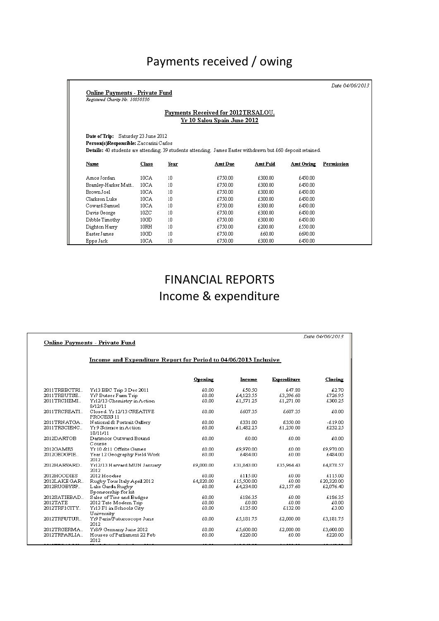#### Payments received / owing

Date 04/06/2013

**Online Payments - Private Fund**<br>Registered Charity No. 10050330

#### Payments Received for 2012TRSALOU. Yr 10 Salou Spain June 2012

Date of Trip: Saturday 23 June 2012 Person(s)Responsible: Zaccarini Carlos Details: 40 students are attending. 39 students attending. James Easter withdrawn but £60 deposit retained.

| Name                | Class            | Year | Amt Due | <b>Amt Paid</b> | Amt Owing | Permission |
|---------------------|------------------|------|---------|-----------------|-----------|------------|
| Amos Jordan         | 10 <sub>CA</sub> | 10   | £750.00 | £300.00         | £450.00   |            |
| Bramley-Harker Matt | 10CA             | 10   | £750.00 | £300.00         | £450.00   |            |
| Brown Joel          | 10 <sub>CA</sub> | 10   | £750.00 | £300.00         | £450.00   |            |
| Clarkson Luke       | 10 <sub>CA</sub> | 10   | £750.00 | £300.00         | £450.00   |            |
| Coward Samuel       | 10 <sub>CA</sub> | 10   | £750.00 | £300.00         | £450.00   |            |
| Davis George        | 10ZC             | 10   | £750.00 | £300.00         | £450.00   |            |
| Dibble Timothy      | 10GD             | 10   | £750.00 | £300.00         | £450.00   |            |
| Dighton Harry       | 10RH             | 10   | £750.00 | £200.00         | £550.00   |            |
| Easter James        | 10GD             | 10   | £750.00 | £60.00          | £690.00   |            |
| Epps Jack           | 10 <sub>CA</sub> | 10   | £750.00 | £300.00         | £450.00   |            |

#### FINANCIAL REPORTS Income & expenditure

|                |                                                                  |           |            |             | Date 04/06/2013 |
|----------------|------------------------------------------------------------------|-----------|------------|-------------|-----------------|
|                | <b>Online Payments - Private Fund</b>                            |           |            |             |                 |
|                |                                                                  |           |            |             |                 |
|                | Income and Expenditure Report for Period to 04/06/2013 Inclusive |           |            |             |                 |
|                |                                                                  |           |            |             |                 |
|                |                                                                  | Opening   | Income     | Expenditure | Closing         |
| 2011TRBBCTRL.  | Yr13 BBC Trip 3 Dec 2011                                         | £0.00     | £50.50     | £47.80      | £2.70           |
| 2011TRBUTSE.   | Yr7 Butser Farm Trip                                             | €0.00     | £4,123.55  | £3,396.60   | £726.95         |
| 2011TRCHEMI    | Yr12/13 Chemistry in Action                                      | £0.00     | £1,571.25  | €1.271.00   | £300.25         |
|                | 8/12/11                                                          |           |            |             |                 |
| 2011TRCREATI   | Closed, Yr 12/13 CREATIVE<br>PROCESS 11                          | £0.00     | £607.35    | £607.35     | £0.00           |
| 2011TRNATGA    |                                                                  | £0.00     | £331.00    | £350.00     | $-£19.00$       |
| 2011TRSCIENC   | National & Portrait Gallery<br>Yr 9 Science in Action            | £0.00     | £1,482.25  | £1,250.00   | £232.25         |
|                | 18/11/11                                                         |           |            |             |                 |
| 2012DARTOB     | Dartmoor Outward Bound                                           | £0.00     | £0.00      | £0.00       | £0.00           |
|                | Course                                                           |           |            |             |                 |
| 2012GAMES      | Yr 10 & 11 Offsite Games                                         | £0.00     | £9,970.00  | £0.00       | £9,970.00       |
| 2012GEOGFIE    | Year 12 Geography Field Work                                     | £0.00     | £484.00    | £0.00       | £484.00         |
|                | 2012                                                             |           |            |             |                 |
| 2012HARVARD    | Yr12/13 Harvard MUN January                                      | £9,000.00 | £31,843.00 | £35,964.43  | £4,878.57       |
|                | 2012                                                             |           |            |             |                 |
| 2012HOODIES    | 2012 Hoodies                                                     | £0.00     | £115.00    | £0.00       | £115.00         |
| 2012LAKE GAR   | Rugby Tour Italy April 2012                                      | £4,820.00 | £15,500.00 | £0.00       | £20,320.00      |
| 2012RUGBYSP    | Lake Garda Rugby                                                 | £0.00     | £4,234.00  | £2,157.60   | £2,076.40       |
|                | Sponsorship for kit                                              |           |            |             |                 |
| 2012SATIEBAD   | Sales of Ties and Badges                                         | £0.00     | £186.35    | £0.00       | £186.35         |
| 2012TATE       | 2012 Tate Modern Trip                                            | £0.00     | £0.00      | £0.00       | £0.00           |
| 2012TRF1CITY.  | Yr13 F1 in Schools City                                          | £0.00     | £135.00    | £132.00     | £3.00           |
|                | University                                                       |           |            |             |                 |
| 2012TRFUTUR    | Yr9 Paris/Futuroscope June                                       | £0.00     | £5,181.75  | £2,000.00   | £3,181.75       |
|                | 2012                                                             |           |            |             |                 |
| 2012TRGERMA    | Yr8/9 Germany June 2012                                          | £0.00     | £5,600.00  | £2,000.00   | £3,600.00       |
| 2012TRPARLIA   | Houses of Parliament 22 Feb                                      | £0.00     | €220.00    | £0.00       | €220.00         |
|                | 2012                                                             |           |            |             |                 |
| . <del>.</del> | 0010                                                             | 000       | 0.00000    | 10000       | 10000           |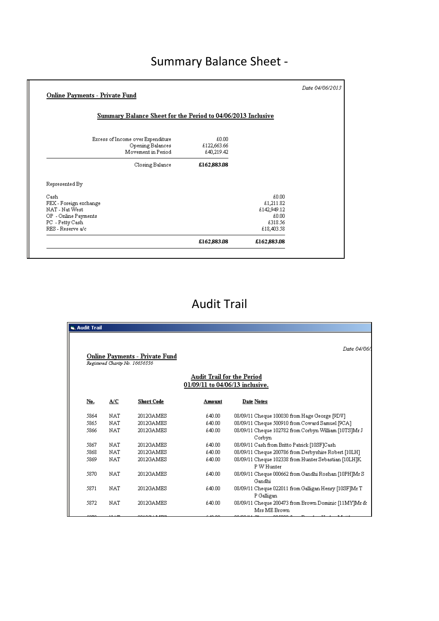# Summary Balance Sheet -

| Summary Balance Sheet for the Period to 04/06/2013 Inclusive                |                                    |             |  |
|-----------------------------------------------------------------------------|------------------------------------|-------------|--|
| Excess of Income over Expenditure<br>Opening Balances<br>Movement in Period | £0.00<br>£122,663.66<br>£40,219.42 |             |  |
| Closing Balance                                                             | £162,883.08                        |             |  |
| Represented By                                                              |                                    |             |  |
| Cash                                                                        |                                    | £0.00       |  |
| FEX - Foreign exchange                                                      |                                    | £1,211.82   |  |
| NAT - Nat West                                                              |                                    | £142,949.12 |  |
| OP - Online Payments                                                        |                                    | £0.00       |  |
| PC - Petty Cash                                                             |                                    | £318.56     |  |
| RES - Reserve a/c                                                           |                                    | £18,403.58  |  |
|                                                                             | £162,883.08                        | £162,883.08 |  |

#### Audit Trail

| <b>G.</b> Audit Trail |                                 |                                |                                                               |                                                                      |
|-----------------------|---------------------------------|--------------------------------|---------------------------------------------------------------|----------------------------------------------------------------------|
|                       |                                 |                                |                                                               |                                                                      |
|                       |                                 | Online Payments - Private Fund |                                                               | Date 04/06/                                                          |
|                       | Registered Charity No. 16656336 |                                | Audit Trail for the Period<br>01/09/11 to 04/06/13 inclusive. |                                                                      |
| No.                   | A/C                             | <b>Short Code</b>              | Amount                                                        | Date Notes                                                           |
| 5864                  | NAT                             | 2012GAMES                      | £40.00                                                        | 08/09/11 Cheque 100030 from Hage George [9DV]                        |
| 5865                  | <b>NAT</b>                      | 2012GAMES                      | £40.00                                                        | 08/09/11 Cheque 500910 from Coward Samuel [9CA]                      |
| 5866                  | <b>NAT</b>                      | 2012GAMES                      | £40.00                                                        | 08/09/11 Cheque 102782 from Corbyn William [10TS]Mr J<br>Corbyn      |
| 5867                  | NAT                             | 2012GAMES                      | £40.00                                                        | 08/09/11 Cash from Britto Patrick [10SF]Cash                         |
| 5868                  | <b>NAT</b>                      | 2012GAMES                      | £40.00                                                        | 08/09/11 Cheque 200786 from Derbyshire Robert [10LH]                 |
| 5869                  | NAT                             | 2012GAMES                      | £40.00                                                        | 08/09/11 Cheque 102338 from Hunter Sebastian [10LH]K<br>P W Hunter   |
| 5870                  | <b>NAT</b>                      | 2012GAMES                      | £40.00                                                        | 08/09/11 Cheque 000662 from Gandhi Roshan [10PH]Mr S<br>Gandhi       |
| 5871                  | <b>NAT</b>                      | 2012GAMES                      | £40.00                                                        | 08/09/11 Cheque 022011 from Galligan Henry [10SF]Mr T<br>P Galligan  |
| 5872                  | NAT                             | 2012GAMES                      | £40.00                                                        | 08/09/11 Cheque 200473 from Brown Dominic [11MY]Mr &<br>Mrs ME Brown |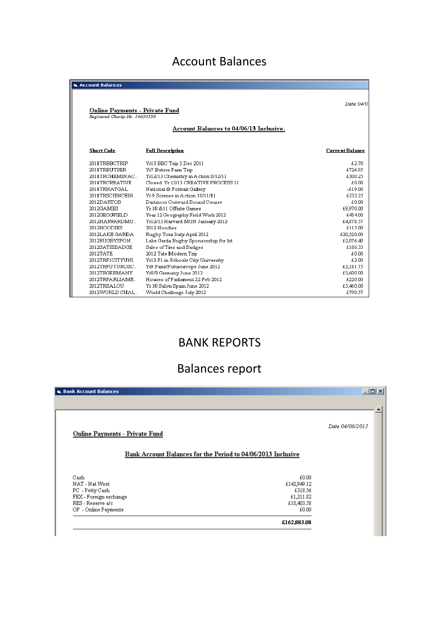#### Account Balances

| <b>G. Account Balances</b>                                               |                                                                             |                        |
|--------------------------------------------------------------------------|-----------------------------------------------------------------------------|------------------------|
| <b>Online Payments - Private Fund</b><br>Registered Charity No. 16656336 |                                                                             | Date 04/0              |
|                                                                          | Account Balances to 04/06/13 Inclusive.                                     |                        |
| <b>Short Code</b>                                                        | <b>Full Description</b>                                                     | <b>Current Balance</b> |
| 2011TRBBCTRIP                                                            | Yr13 BBC Trip 3 Dec 2011                                                    | £2.70                  |
| 2011TRBUTSER                                                             | Yr7 Butser Farm Trip                                                        | £726.95                |
| 2011TRCHEMINAC<br>2011TRCREATIVE                                         | Yr12/13 Chemistry in Action 8/12/11<br>Closed, Yr 12/13 CREATIVE PROCESS 11 | £300.25<br>£0.00       |
| 2011TRNATGAL                                                             | National & Portrait Gallery                                                 | $-619.00$              |
| 2011TRSCIENCEIN                                                          | Yr 9 Science in Action 18/11/11                                             | £232.25                |
| 2012DARTOB                                                               | Dartmoor Outward Bound Course                                               | £0.00                  |
| 2012GAMES                                                                | Vr 10 & 11 Offsite Games                                                    | £9,970.00              |
| 2012GEOGFIELD                                                            | Year 12 Geography Field Work 2012                                           | £484.00                |
| 2012HARVARDMU.                                                           | Yr12/13 Harvard MUN January 2012                                            | £4,878.57              |
| 2012HOODIES                                                              | 2012 Hoodies                                                                | £115.00                |
| 2012LAKE GARDA                                                           | Rugby Tour Italy April 2012                                                 | £20,320.00             |
| 2012RUGBYSPON                                                            | Lake Garda Rugby Sponsorship for kit                                        | £2,076.40              |
| 2012SATIEBADGE                                                           | Sales of Ties and Badges                                                    | £186.35                |
| 2012TATE                                                                 | 2012 Tate Modern Trip                                                       | £0.00                  |
| 2012TRF1CITYUNI                                                          | Yr13 F1 in Schools City University                                          | £3.00                  |
| 2012TRFUTUROSC                                                           | Yr9 Paris/Futuroscope June 2012                                             | £3,181.75              |
| 2012TRGERMANY                                                            | Yr8/9 Germany June 2012                                                     | £3,600.00              |
| 2012TRPARLIAME.                                                          | Houses of Parliament 22 Feb 2012                                            | £220.00                |
| 2012TRSALOU                                                              | Yr 10 Salou Spain June 2012                                                 | £5,460.00              |
| 2012WORLD CHAL                                                           | World Challenge July 2012                                                   | £790.57                |

#### BANK REPORTS

## Balances report

| <b>B. Bank Account Balances</b>       | $\Box$ $\Box$ $\times$                                       |
|---------------------------------------|--------------------------------------------------------------|
| <b>Online Payments - Private Fund</b> | Date 04/06/2013                                              |
|                                       | Bank Account Balances for the Period to 04/06/2013 Inclusive |
| Cash                                  | £0.00                                                        |
| NAT - Nat West                        | £142,949.12                                                  |
| PC - Petty Cash                       | £318.56                                                      |
| FEX - Foreign exchange                | £1,211.82                                                    |
| RES - Reserve a/c                     | £18,403.58                                                   |
| OP - Online Payments                  | £0.00                                                        |
|                                       | £162,883.08                                                  |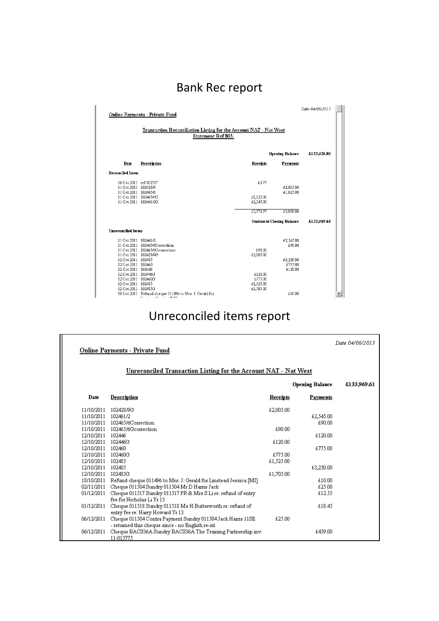# Bank Rec report

| Date 04/06/2013<br><b>Online Payments - Private Fund</b>                                       |                                                                                          |                                              |                                  |             |  |
|------------------------------------------------------------------------------------------------|------------------------------------------------------------------------------------------|----------------------------------------------|----------------------------------|-------------|--|
| Transaction Reconciliation Listing for the Account NAT - Nat West<br><b>Statement Ref 803.</b> |                                                                                          |                                              |                                  |             |  |
|                                                                                                |                                                                                          |                                              | <b>Opening Balance</b>           | £133,426.86 |  |
| Date                                                                                           | Description                                                                              | Receipts                                     | Payments                         |             |  |
| <b>Reconciled Items</b>                                                                        |                                                                                          |                                              |                                  |             |  |
| 06 Oct 2011 ref 102517<br>11 Oct 2011 102428/9<br>11 Oct 2011 102465/6                         |                                                                                          | £2.75                                        | £2,005.00<br>£1,025.00           |             |  |
| 11 Oct 2011 102465/6G<br>11 Oct 2011 102461/2G                                                 |                                                                                          | £1,025.00<br>£2,545.00                       |                                  |             |  |
|                                                                                                |                                                                                          | £3,572.75                                    | £3,030.00                        |             |  |
|                                                                                                |                                                                                          |                                              | <b>Statement Closing Balance</b> | £133,969.61 |  |
| <b>Unreconciled Items</b>                                                                      |                                                                                          |                                              |                                  |             |  |
| 11 Oct 2011 102461/2<br>11 Oct 2011 102428/9G                                                  | 11 Oct 2011 102465/6Correction<br>11 Oct 2011 102465/6Gcorrection                        | £90.00<br>£2,005.00                          | £2,545.00<br>£90.00              |             |  |
| 12 Oct 2011 102485<br>12 Oct 2011 102460<br>12 Oct 2011 102446                                 |                                                                                          |                                              | £3,230.00<br>£775.00<br>£120.00  |             |  |
| 12 Oct 2011 102446G<br>12 Oct 2011 102460G<br>12 Oct 2011 102485<br>12 Oct 2011 102485G        |                                                                                          | £120.00<br>£775.00<br>£1,525.00<br>£1,705.00 |                                  |             |  |
|                                                                                                | 18 Oct 2011 Refund cheque 011496 to Mrs. J. Gerald for<br>er a ser T<br><b>CALL AT 1</b> |                                              | £10.00                           |             |  |

## Unreconciled items report

|                      | <b>Online Payments - Private Fund</b>                                                                           |                 |                        | Date 04/06/2013 |
|----------------------|-----------------------------------------------------------------------------------------------------------------|-----------------|------------------------|-----------------|
|                      | Unreconciled Transaction Listing for the Account NAT - Nat West                                                 |                 |                        |                 |
|                      |                                                                                                                 |                 | <b>Opening Balance</b> | £133,969.61     |
| Date                 | Description                                                                                                     | <b>Receipts</b> | <b>Payments</b>        |                 |
| 11/10/2011 102428/9G |                                                                                                                 | £2,005.00       |                        |                 |
| 11/10/2011 102461/2  |                                                                                                                 |                 | £2,545.00              |                 |
|                      | 11/10/2011 102465/6Correction                                                                                   |                 | £90.00                 |                 |
|                      | 11/10/2011 102465/6Gcorrection                                                                                  | £90.00          |                        |                 |
| 12/10/2011 102446    |                                                                                                                 |                 | £120.00                |                 |
| 12/10/2011 102446G   |                                                                                                                 | £120.00         |                        |                 |
| 12/10/2011 102460    |                                                                                                                 |                 | £775.00                |                 |
| 12/10/2011 102460G   |                                                                                                                 | £775.00         |                        |                 |
| 12/10/2011 102485    |                                                                                                                 | £1,525.00       |                        |                 |
| 12/10/2011 102485    |                                                                                                                 |                 | £3,230.00              |                 |
| 12/10/2011 102485G   |                                                                                                                 | £1,705.00       |                        |                 |
|                      | 18/10/2011 Refund cheque 011496 to Mrs. J. Gerald for Linstead Jessica [MI]                                     |                 | £10.00                 |                 |
|                      | 02/11/2011 Cheque 011504 Sundry 011504 Mr D Harris Jack                                                         |                 | £25.00                 |                 |
|                      | 01/12/2011 Cheque 011517 Sundry 011517 PR & Mrs S Li re: refund of entry<br>fee for Nicholas Li Yr 13           |                 | £12.55                 |                 |
| 01/12/2011           | Cheque 011518 Sundry 011518 Ms H Butterworth re: refund of<br>entry fee re: Harry Howard Yr 13                  |                 | £18.45                 |                 |
| 06/12/2011           | Cheque 011504 Contra Payment Sundry 011504 Jack Harris 11SE<br>- returned this cheque since - no English re-sit | £25.00          |                        |                 |
| 06/12/2011           | Cheque BACS36A Sundry BACS36A The Training Partnership inv.<br>11-015775                                        |                 | £459.00                |                 |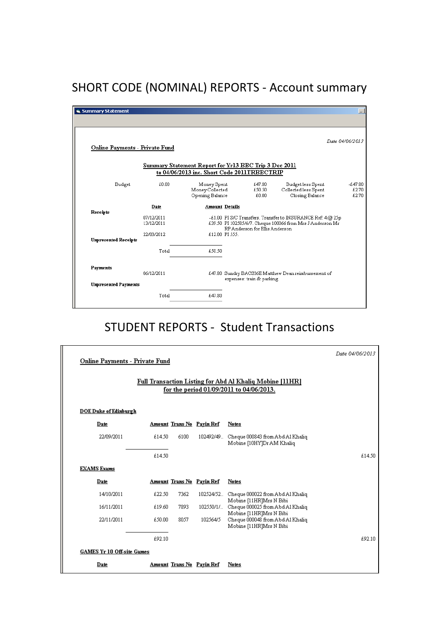## SHORT CODE (NOMINAL) REPORTS - Account summary

| Summary Statement                     |                          |                                                                                                      |                                                                                                                                                             |                           |                                                              |                             |
|---------------------------------------|--------------------------|------------------------------------------------------------------------------------------------------|-------------------------------------------------------------------------------------------------------------------------------------------------------------|---------------------------|--------------------------------------------------------------|-----------------------------|
| <b>Online Payments - Private Fund</b> |                          |                                                                                                      |                                                                                                                                                             |                           |                                                              | Date 04/06/2013             |
|                                       |                          | Summary Statement Report for Yr13 BBC Trip 3 Dec 2011<br>to 04/06/2013 inc. Short Code 2011TRBBCTRIP |                                                                                                                                                             |                           |                                                              |                             |
| Budget                                | £0.00                    | Money Spent<br>Money Collected<br>Opening Balance                                                    |                                                                                                                                                             | £47.80<br>£50.50<br>£0.00 | Budget less Spent<br>Collected less Spent<br>Closing Balance | $-647.80$<br>£2.70<br>£2.70 |
| Receipts                              | Date                     | <b>Amount Details</b>                                                                                |                                                                                                                                                             |                           |                                                              |                             |
|                                       | 07/12/2011<br>13/12/2011 |                                                                                                      | -£1.00 PI S/C Transfers. Transfer to INSURANCE Ref: 4 @ 25p<br>£39.50 PI 102585/6/7. Cheque 100066 from Mrs J Anderson Mr<br>RP Anderson for Ellis Anderson |                           |                                                              |                             |
| <b>Unpresented Receipts</b>           | 22/03/2012               |                                                                                                      | £12.00 PI 555.                                                                                                                                              |                           |                                                              |                             |
|                                       | Total                    | £50.50                                                                                               |                                                                                                                                                             |                           |                                                              |                             |
| Payments                              | 06/12/2011               |                                                                                                      |                                                                                                                                                             |                           | £47.80 Sundry BACS36E Matthew Dean reimbursement of          |                             |
| <b>Unpresented Payments</b>           |                          |                                                                                                      |                                                                                                                                                             | expenses: train & parking |                                                              |                             |
|                                       | Total                    | £47.80                                                                                               |                                                                                                                                                             |                           |                                                              |                             |

#### STUDENT REPORTS - Student Transactions

| <b>Online Payments - Private Fund</b><br>Full Transaction Listing for Abd Al Khaliq Mobine [11HR]<br>for the period 01/09/2011 to 04/06/2013. |        |      |                                  |                                                                                        | Date 04/06/2013 |
|-----------------------------------------------------------------------------------------------------------------------------------------------|--------|------|----------------------------------|----------------------------------------------------------------------------------------|-----------------|
| <b>DOE Duke of Edinburgh</b>                                                                                                                  |        |      |                                  |                                                                                        |                 |
| Date                                                                                                                                          |        |      | <b>Amount Trans No Payin Ref</b> | <b>Notes</b>                                                                           |                 |
| 22/09/2011                                                                                                                                    | £14.50 | 6100 |                                  | 102492/49. Cheque 000843 from Abd Al Khaliq<br>Mobine [10HY]Dr AM Khaliq               |                 |
|                                                                                                                                               | £14.50 |      |                                  |                                                                                        | £14.50          |
| <b>EXAMS</b> Exams                                                                                                                            |        |      |                                  |                                                                                        |                 |
| Date                                                                                                                                          |        |      | Amount Trans No Payin Ref        | <b>Notes</b>                                                                           |                 |
| 14/10/2011                                                                                                                                    | £22.50 | 7362 |                                  | 102524/52. Cheque 000022 from Abd Al Khaliq<br>Mobine [11HR]Mrs N Bibi                 |                 |
| 16/11/2011                                                                                                                                    | £19.60 | 7893 |                                  | 102550/1/ Cheque 000025 from Abd Al Khaliq                                             |                 |
| 22/11/2011                                                                                                                                    | £50.00 | 8057 | 102564/5                         | Mobine [11HR]Mrs N Bibi<br>Cheque 000048 from Abd Al Khaliq<br>Mobine [11HR]Mrs N Bibi |                 |
|                                                                                                                                               | £92.10 |      |                                  |                                                                                        | £92.10          |
| <b>GAMES Yr 10 Off-site Games</b>                                                                                                             |        |      |                                  |                                                                                        |                 |
| Date                                                                                                                                          |        |      | <u>Amount Trans No Payin Ref</u> | <b>Notes</b>                                                                           |                 |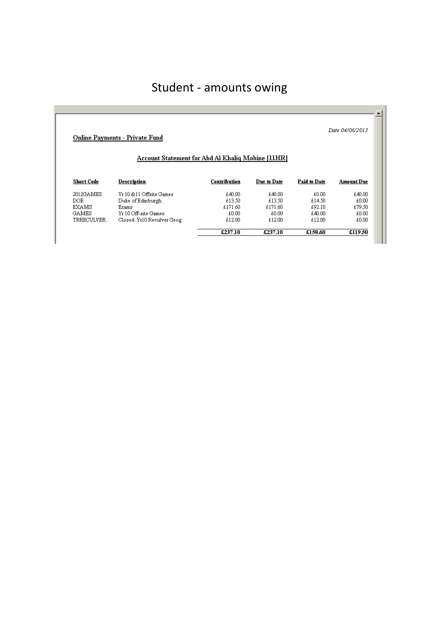## Student - amounts owing

| Date 04/06/2013<br><b>Online Payments - Private Fund</b><br><b>Account Statement for Abd Al Khaliq Mobine [11HR]</b> |                            |         |         |        |                                             |
|----------------------------------------------------------------------------------------------------------------------|----------------------------|---------|---------|--------|---------------------------------------------|
|                                                                                                                      |                            |         |         |        |                                             |
|                                                                                                                      |                            |         |         |        |                                             |
|                                                                                                                      | Yr 10 & 11 Offsite Games   | £40.00  | £40.00  | £0.00  |                                             |
|                                                                                                                      | Duke of Edinburgh          | £13.50  | £13.50  | £14.50 |                                             |
|                                                                                                                      | Exams                      | £171.60 | £171.60 | £92.10 |                                             |
|                                                                                                                      | Yr 10 Off-site Games       | £0.00   | £0.00   | £40.00 |                                             |
| 2012GAMES<br>DOE.<br><b>EXAMS</b><br><b>GAMES</b><br>TRRECULVER                                                      | Closed, Yr10 Reculver Geog | £12.00  | £12.00  | £12.00 | £40.00<br>£0.00<br>£79.50<br>£0.00<br>£0.00 |